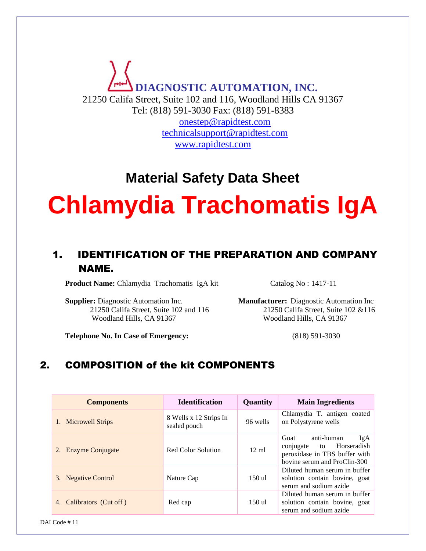**DIAGNOSTIC AUTOMATION, INC.** 21250 Califa Street, Suite 102 and 116, Woodland Hills CA 91367 Tel: (818) 591-3030 Fax: (818) 591-8383 [onestep@rapidtest.com](mailto:onestep@rapidtest.com)

[technicalsupport@rapidtest.com](mailto:technicalsupport@rapidtest.com) www.rapidtest.com

# **Material Safety Data Sheet**

# **Chlamydia Trachomatis IgA**

# 1. IDENTIFICATION OF THE PREPARATION AND COMPANY NAME.

**Product Name:** Chlamydia Trachomatis IgA kit Catalog No: 1417-11

**Supplier:** Diagnostic Automation Inc. **Manufacturer:** Diagnostic Automation Inc Woodland Hills, CA 91367Woodland Hills, CA 91367

21250 Califa Street, Suite 102 and 11621250 Califa Street, Suite 102 &116

**Telephone No. In Case of Emergency:** (818) 591-3030

# 2. COMPOSITION of the kit COMPONENTS

| <b>Components</b>           | <b>Identification</b>                  | Quantity        | <b>Main Ingredients</b>                                                                                                      |
|-----------------------------|----------------------------------------|-----------------|------------------------------------------------------------------------------------------------------------------------------|
| 1. Microwell Strips         | 8 Wells x 12 Strips In<br>sealed pouch | 96 wells        | Chlamydia T. antigen coated<br>on Polystyrene wells                                                                          |
| 2. Enzyme Conjugate         | Red Color Solution                     | $12 \text{ ml}$ | anti-human<br>Goat<br>IgA<br>Horseradish<br>conjugate<br>to<br>peroxidase in TBS buffer with<br>bovine serum and ProClin-300 |
| 3. Negative Control         | Nature Cap                             | 150 ul          | Diluted human serum in buffer<br>solution contain bovine, goat<br>serum and sodium azide                                     |
| Calibrators (Cut off)<br>4. | Red cap                                | 150 ul          | Diluted human serum in buffer<br>solution contain bovine, goat<br>serum and sodium azide                                     |

DAI Code # 11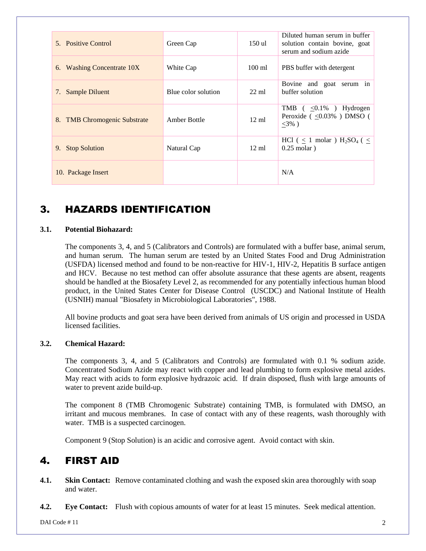| 5. Positive Control                    | Green Cap           | 150 ul           | Diluted human serum in buffer<br>solution contain bovine, goat<br>serum and sodium azide                                                      |
|----------------------------------------|---------------------|------------------|-----------------------------------------------------------------------------------------------------------------------------------------------|
| <b>Washing Concentrate 10X</b><br>6.   | White Cap           | $100 \text{ ml}$ | PBS buffer with detergent                                                                                                                     |
| Sample Diluent<br>7.                   | Blue color solution | $22 \text{ ml}$  | Bovine and goat serum in<br>buffer solution                                                                                                   |
| <b>TMB</b> Chromogenic Substrate<br>8. | Amber Bottle        | $12 \text{ ml}$  | TMB $\left( \begin{array}{c} 2.1\% \\ 0.1\% \end{array} \right)$ Hydrogen<br>Peroxide $\left( \sqrt{0.03\%}\right)$ DMSO $\left($<br>$<3\%$ ) |
| <b>Stop Solution</b><br>9.             | Natural Cap         | $12 \text{ ml}$  | HCl ( $\leq$ 1 molar ) H <sub>2</sub> SO <sub>4</sub> ( $\leq$<br>$0.25$ molar)                                                               |
| 10. Package Insert                     |                     |                  | N/A                                                                                                                                           |

# 3. HAZARDS IDENTIFICATION

#### **3.1. Potential Biohazard:**

The components 3, 4, and 5 (Calibrators and Controls) are formulated with a buffer base, animal serum, and human serum. The human serum are tested by an United States Food and Drug Administration (USFDA) licensed method and found to be non-reactive for HIV-1, HIV-2, Hepatitis B surface antigen and HCV. Because no test method can offer absolute assurance that these agents are absent, reagents should be handled at the Biosafety Level 2, as recommended for any potentially infectious human blood product, in the United States Center for Disease Control (USCDC) and National Institute of Health (USNIH) manual "Biosafety in Microbiological Laboratories", 1988.

All bovine products and goat sera have been derived from animals of US origin and processed in USDA licensed facilities.

#### **3.2. Chemical Hazard:**

The components 3, 4, and 5 (Calibrators and Controls) are formulated with 0.1 % sodium azide. Concentrated Sodium Azide may react with copper and lead plumbing to form explosive metal azides. May react with acids to form explosive hydrazoic acid. If drain disposed, flush with large amounts of water to prevent azide build-up.

The component 8 (TMB Chromogenic Substrate) containing TMB, is formulated with DMSO, an irritant and mucous membranes. In case of contact with any of these reagents, wash thoroughly with water. TMB is a suspected carcinogen.

Component 9 (Stop Solution) is an acidic and corrosive agent. Avoid contact with skin.

## 4. FIRST AID

- **4.1. Skin Contact:** Remove contaminated clothing and wash the exposed skin area thoroughly with soap and water.
- **4.2. Eye Contact:** Flush with copious amounts of water for at least 15 minutes. Seek medical attention.

 $DAI Code #11$  2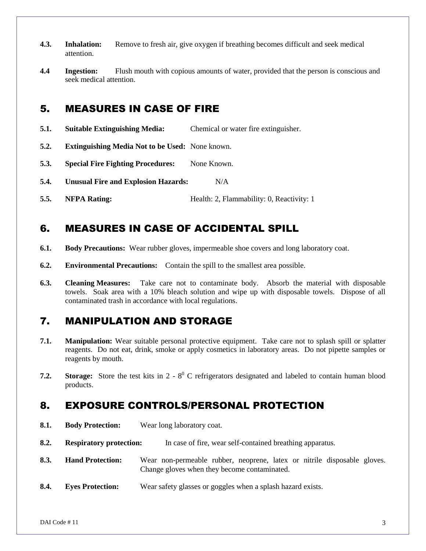- **4.3. Inhalation:** Remove to fresh air, give oxygen if breathing becomes difficult and seek medical attention.
- **4.4 Ingestion:** Flush mouth with copious amounts of water, provided that the person is conscious and seek medical attention.

#### 5. MEASURES IN CASE OF FIRE

- **5.1. Suitable Extinguishing Media:** Chemical or water fire extinguisher.
- **5.2. Extinguishing Media Not to be Used:** None known.
- **5.3. Special Fire Fighting Procedures:** None Known.
- **5.4. Unusual Fire and Explosion Hazards:** N/A
- **5.5. NFPA Rating:** Health: 2, Flammability: 0, Reactivity: 1

# 6. MEASURES IN CASE OF ACCIDENTAL SPILL

- **6.1. Body Precautions:** Wear rubber gloves, impermeable shoe covers and long laboratory coat.
- **6.2. Environmental Precautions:** Contain the spill to the smallest area possible.
- **6.3. Cleaning Measures:** Take care not to contaminate body. Absorb the material with disposable towels. Soak area with a 10% bleach solution and wipe up with disposable towels. Dispose of all contaminated trash in accordance with local regulations.

# 7. MANIPULATION AND STORAGE

- **7.1. Manipulation:** Wear suitable personal protective equipment. Take care not to splash spill or splatter reagents. Do not eat, drink, smoke or apply cosmetics in laboratory areas. Do not pipette samples or reagents by mouth.
- **7.2. Storage:** Store the test kits in 2 8<sup>0</sup> C refrigerators designated and labeled to contain human blood products.

## 8. EXPOSURE CONTROLS/PERSONAL PROTECTION

**8.1. Body Protection:** Wear long laboratory coat. **8.2. Respiratory protection:** In case of fire, wear self-contained breathing apparatus. **8.3. Hand Protection:** Wear non-permeable rubber, neoprene, latex or nitrile disposable gloves. Change gloves when they become contaminated. **8.4. Eyes Protection:** Wear safety glasses or goggles when a splash hazard exists.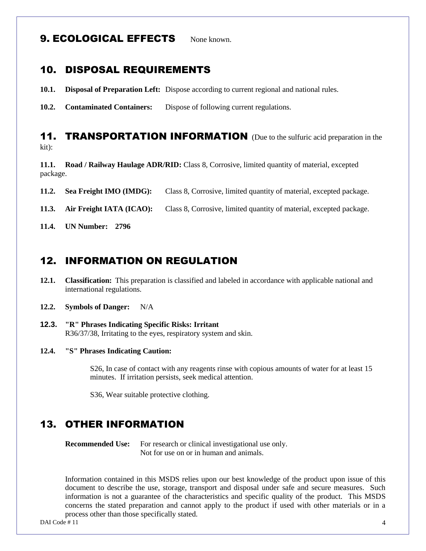#### **9. ECOLOGICAL EFFECTS** None known

#### 10. DISPOSAL REQUIREMENTS

- **10.1. Disposal of Preparation Left:** Dispose according to current regional and national rules.
- **10.2. Contaminated Containers:** Dispose of following current regulations.

#### **11. TRANSPORTATION INFORMATION** (Due to the sulfuric acid preparation in the kit):

**11.1. Road / Railway Haulage ADR/RID:** Class 8, Corrosive, limited quantity of material, excepted package.

**11.2. Sea Freight IMO (IMDG):** Class 8, Corrosive, limited quantity of material, excepted package.

**11.3. Air Freight IATA (ICAO):** Class 8, Corrosive, limited quantity of material, excepted package.

**11.4. UN Number: 2796**

#### 12. INFORMATION ON REGULATION

- **12.1. Classification:** This preparation is classified and labeled in accordance with applicable national and international regulations.
- **12.2. Symbols of Danger:** N/A
- **12.3. "R" Phrases Indicating Specific Risks: Irritant** R36/37/38, Irritating to the eyes, respiratory system and skin.
- **12.4. "S" Phrases Indicating Caution:**

S26, In case of contact with any reagents rinse with copious amounts of water for at least 15 minutes. If irritation persists, seek medical attention.

S36, Wear suitable protective clothing.

#### 13. OTHER INFORMATION

**Recommended Use:** For research or clinical investigational use only. Not for use on or in human and animals.

Information contained in this MSDS relies upon our best knowledge of the product upon issue of this document to describe the use, storage, transport and disposal under safe and secure measures. Such information is not a guarantee of the characteristics and specific quality of the product. This MSDS concerns the stated preparation and cannot apply to the product if used with other materials or in a process other than those specifically stated.